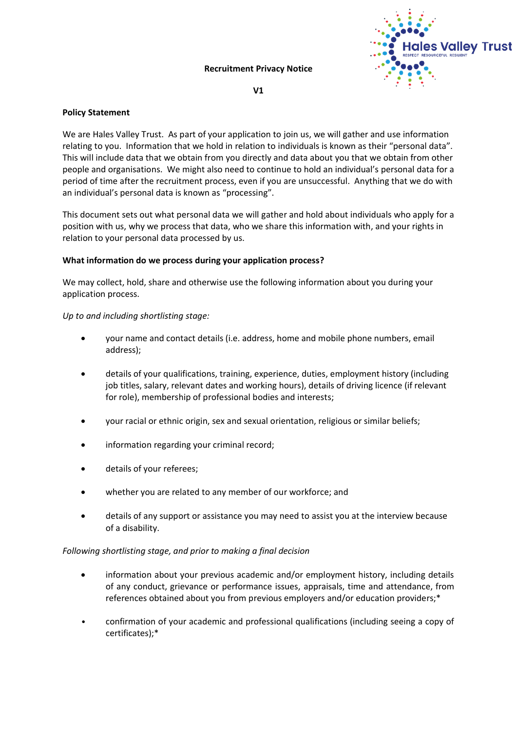#### **Recruitment Privacy Notice**



#### **V1**

## **Policy Statement**

We are Hales Valley Trust. As part of your application to join us, we will gather and use information relating to you. Information that we hold in relation to individuals is known as their "personal data". This will include data that we obtain from you directly and data about you that we obtain from other people and organisations. We might also need to continue to hold an individual's personal data for a period of time after the recruitment process, even if you are unsuccessful. Anything that we do with an individual's personal data is known as "processing".

This document sets out what personal data we will gather and hold about individuals who apply for a position with us, why we process that data, who we share this information with, and your rights in relation to your personal data processed by us.

# **What information do we process during your application process?**

We may collect, hold, share and otherwise use the following information about you during your application process.

# *Up to and including shortlisting stage:*

- your name and contact details (i.e. address, home and mobile phone numbers, email address);
- details of your qualifications, training, experience, duties, employment history (including job titles, salary, relevant dates and working hours), details of driving licence (if relevant for role), membership of professional bodies and interests;
- your racial or ethnic origin, sex and sexual orientation, religious or similar beliefs;
- information regarding your criminal record;
- details of your referees;
- whether you are related to any member of our workforce; and
- details of any support or assistance you may need to assist you at the interview because of a disability.

#### *Following shortlisting stage, and prior to making a final decision*

- information about your previous academic and/or employment history, including details of any conduct, grievance or performance issues, appraisals, time and attendance, from references obtained about you from previous employers and/or education providers;\*
- confirmation of your academic and professional qualifications (including seeing a copy of certificates);\*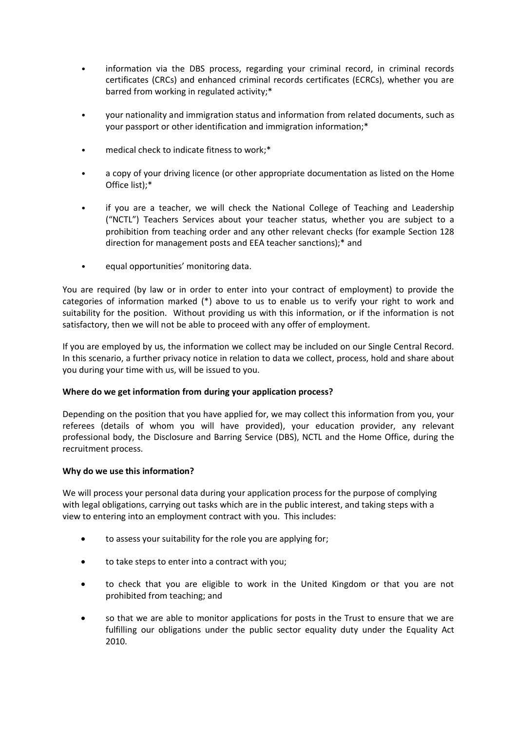- information via the DBS process, regarding your criminal record, in criminal records certificates (CRCs) and enhanced criminal records certificates (ECRCs), whether you are barred from working in regulated activity;\*
- your nationality and immigration status and information from related documents, such as your passport or other identification and immigration information;\*
- medical check to indicate fitness to work;\*
- a copy of your driving licence (or other appropriate documentation as listed on the Home Office list);\*
- if you are a teacher, we will check the National College of Teaching and Leadership ("NCTL") Teachers Services about your teacher status, whether you are subject to a prohibition from teaching order and any other relevant checks (for example Section 128 direction for management posts and EEA teacher sanctions);\* and
- equal opportunities' monitoring data.

You are required (by law or in order to enter into your contract of employment) to provide the categories of information marked (\*) above to us to enable us to verify your right to work and suitability for the position. Without providing us with this information, or if the information is not satisfactory, then we will not be able to proceed with any offer of employment.

If you are employed by us, the information we collect may be included on our Single Central Record. In this scenario, a further privacy notice in relation to data we collect, process, hold and share about you during your time with us, will be issued to you.

# **Where do we get information from during your application process?**

Depending on the position that you have applied for, we may collect this information from you, your referees (details of whom you will have provided), your education provider, any relevant professional body, the Disclosure and Barring Service (DBS), NCTL and the Home Office, during the recruitment process.

#### **Why do we use this information?**

We will process your personal data during your application process for the purpose of complying with legal obligations, carrying out tasks which are in the public interest, and taking steps with a view to entering into an employment contract with you. This includes:

- to assess your suitability for the role you are applying for;
- to take steps to enter into a contract with you;
- to check that you are eligible to work in the United Kingdom or that you are not prohibited from teaching; and
- so that we are able to monitor applications for posts in the Trust to ensure that we are fulfilling our obligations under the public sector equality duty under the Equality Act 2010.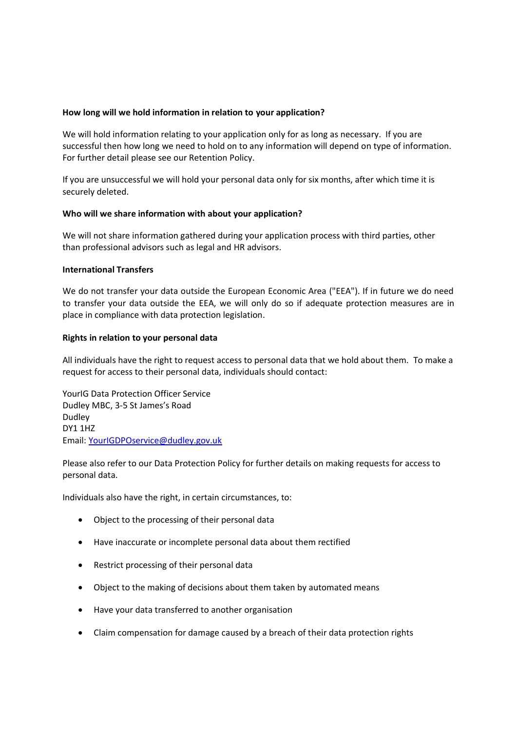## **How long will we hold information in relation to your application?**

We will hold information relating to your application only for as long as necessary. If you are successful then how long we need to hold on to any information will depend on type of information. For further detail please see our Retention Policy.

If you are unsuccessful we will hold your personal data only for six months, after which time it is securely deleted.

#### **Who will we share information with about your application?**

We will not share information gathered during your application process with third parties, other than professional advisors such as legal and HR advisors.

#### **International Transfers**

We do not transfer your data outside the European Economic Area ("EEA"). If in future we do need to transfer your data outside the EEA, we will only do so if adequate protection measures are in place in compliance with data protection legislation.

#### **Rights in relation to your personal data**

All individuals have the right to request access to personal data that we hold about them. To make a request for access to their personal data, individuals should contact:

YourIG Data Protection Officer Service Dudley MBC, 3-5 St James's Road Dudley DY1 1HZ Email: [YourIGDPOservice@dudley.gov.uk](mailto:YourIGDPOservice@dudley.gov.uk)

Please also refer to our Data Protection Policy for further details on making requests for access to personal data.

Individuals also have the right, in certain circumstances, to:

- Object to the processing of their personal data
- Have inaccurate or incomplete personal data about them rectified
- Restrict processing of their personal data
- Object to the making of decisions about them taken by automated means
- Have your data transferred to another organisation
- Claim compensation for damage caused by a breach of their data protection rights